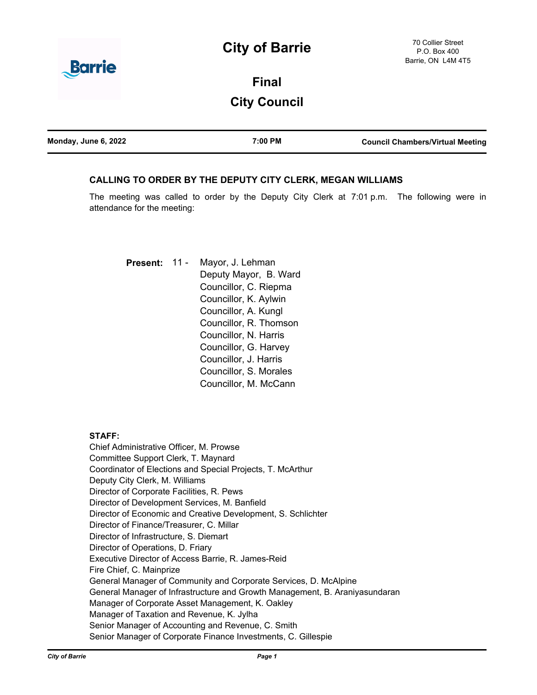# **City of Barrie**



# **Final City Council**

| Monday, June 6, 2022 | 7:00 PM | <b>Council Chambers/Virtual Meeting</b> |
|----------------------|---------|-----------------------------------------|
|                      |         |                                         |

### **CALLING TO ORDER BY THE DEPUTY CITY CLERK, MEGAN WILLIAMS**

The meeting was called to order by the Deputy City Clerk at 7:01 p.m. The following were in attendance for the meeting:

Mayor, J. Lehman Deputy Mayor, B. Ward Councillor, C. Riepma Councillor, K. Aylwin Councillor, A. Kungl Councillor, R. Thomson Councillor, N. Harris Councillor, G. Harvey Councillor, J. Harris Councillor, S. Morales Councillor, M. McCann **Present:** 11 -

### **STAFF:**

Chief Administrative Officer, M. Prowse Committee Support Clerk, T. Maynard Coordinator of Elections and Special Projects, T. McArthur Deputy City Clerk, M. Williams Director of Corporate Facilities, R. Pews Director of Development Services, M. Banfield Director of Economic and Creative Development, S. Schlichter Director of Finance/Treasurer, C. Millar Director of Infrastructure, S. Diemart Director of Operations, D. Friary Executive Director of Access Barrie, R. James-Reid Fire Chief, C. Mainprize General Manager of Community and Corporate Services, D. McAlpine General Manager of Infrastructure and Growth Management, B. Araniyasundaran Manager of Corporate Asset Management, K. Oakley Manager of Taxation and Revenue, K. Jylha Senior Manager of Accounting and Revenue, C. Smith Senior Manager of Corporate Finance Investments, C. Gillespie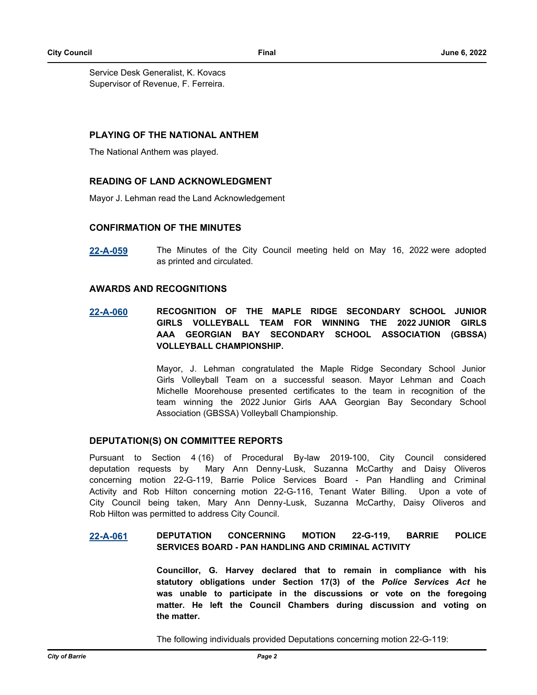Service Desk Generalist, K. Kovacs Supervisor of Revenue, F. Ferreira.

### **PLAYING OF THE NATIONAL ANTHEM**

The National Anthem was played.

## **READING OF LAND ACKNOWLEDGMENT**

Mayor J. Lehman read the Land Acknowledgement

## **CONFIRMATION OF THE MINUTES**

**[22-A-059](http://barrie.ca.legistar.com/gateway.aspx?m=l&id=/matter.aspx?key=50822)** The Minutes of the City Council meeting held on May 16, 2022 were adopted as printed and circulated.

### **AWARDS AND RECOGNITIONS**

**[22-A-060](http://barrie.ca.legistar.com/gateway.aspx?m=l&id=/matter.aspx?key=50823) RECOGNITION OF THE MAPLE RIDGE SECONDARY SCHOOL JUNIOR GIRLS VOLLEYBALL TEAM FOR WINNING THE 2022 JUNIOR GIRLS AAA GEORGIAN BAY SECONDARY SCHOOL ASSOCIATION (GBSSA) VOLLEYBALL CHAMPIONSHIP.**

> Mayor, J. Lehman congratulated the Maple Ridge Secondary School Junior Girls Volleyball Team on a successful season. Mayor Lehman and Coach Michelle Moorehouse presented certificates to the team in recognition of the team winning the 2022 Junior Girls AAA Georgian Bay Secondary School Association (GBSSA) Volleyball Championship.

### **DEPUTATION(S) ON COMMITTEE REPORTS**

Pursuant to Section 4 (16) of Procedural By-law 2019-100, City Council considered deputation requests by Mary Ann Denny-Lusk, Suzanna McCarthy and Daisy Oliveros concerning motion 22-G-119, Barrie Police Services Board - Pan Handling and Criminal Activity and Rob Hilton concerning motion 22-G-116, Tenant Water Billing. Upon a vote of City Council being taken, Mary Ann Denny-Lusk, Suzanna McCarthy, Daisy Oliveros and Rob Hilton was permitted to address City Council.

### **[22-A-061](http://barrie.ca.legistar.com/gateway.aspx?m=l&id=/matter.aspx?key=50825) DEPUTATION CONCERNING MOTION 22-G-119, BARRIE POLICE SERVICES BOARD - PAN HANDLING AND CRIMINAL ACTIVITY**

**Councillor, G. Harvey declared that to remain in compliance with his statutory obligations under Section 17(3) of the** *Police Services Act* **he was unable to participate in the discussions or vote on the foregoing matter. He left the Council Chambers during discussion and voting on the matter.**

The following individuals provided Deputations concerning motion 22-G-119: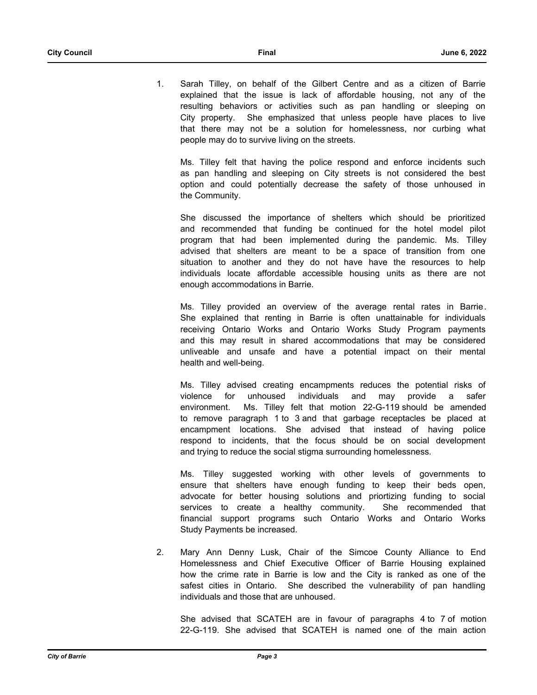1. Sarah Tilley, on behalf of the Gilbert Centre and as a citizen of Barrie explained that the issue is lack of affordable housing, not any of the resulting behaviors or activities such as pan handling or sleeping on City property. She emphasized that unless people have places to live that there may not be a solution for homelessness, nor curbing what people may do to survive living on the streets.

Ms. Tilley felt that having the police respond and enforce incidents such as pan handling and sleeping on City streets is not considered the best option and could potentially decrease the safety of those unhoused in the Community.

She discussed the importance of shelters which should be prioritized and recommended that funding be continued for the hotel model pilot program that had been implemented during the pandemic. Ms. Tilley advised that shelters are meant to be a space of transition from one situation to another and they do not have have the resources to help individuals locate affordable accessible housing units as there are not enough accommodations in Barrie.

Ms. Tilley provided an overview of the average rental rates in Barrie. She explained that renting in Barrie is often unattainable for individuals receiving Ontario Works and Ontario Works Study Program payments and this may result in shared accommodations that may be considered unliveable and unsafe and have a potential impact on their mental health and well-being.

Ms. Tilley advised creating encampments reduces the potential risks of violence for unhoused individuals and may provide a safer environment. Ms. Tilley felt that motion 22-G-119 should be amended to remove paragraph 1 to 3 and that garbage receptacles be placed at encampment locations. She advised that instead of having police respond to incidents, that the focus should be on social development and trying to reduce the social stigma surrounding homelessness.

Ms. Tilley suggested working with other levels of governments to ensure that shelters have enough funding to keep their beds open, advocate for better housing solutions and priortizing funding to social services to create a healthy community. She recommended that financial support programs such Ontario Works and Ontario Works Study Payments be increased.

2. Mary Ann Denny Lusk, Chair of the Simcoe County Alliance to End Homelessness and Chief Executive Officer of Barrie Housing explained how the crime rate in Barrie is low and the City is ranked as one of the safest cities in Ontario. She described the vulnerability of pan handling individuals and those that are unhoused.

She advised that SCATEH are in favour of paragraphs 4 to 7 of motion 22-G-119. She advised that SCATEH is named one of the main action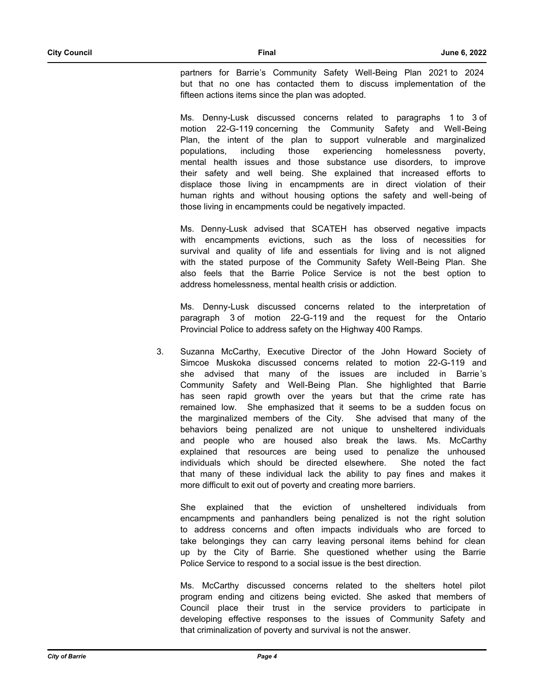partners for Barrie's Community Safety Well-Being Plan 2021 to 2024 but that no one has contacted them to discuss implementation of the fifteen actions items since the plan was adopted.

Ms. Denny-Lusk discussed concerns related to paragraphs 1 to 3 of motion 22-G-119 concerning the Community Safety and Well-Being Plan, the intent of the plan to support vulnerable and marginalized populations, including those experiencing homelessness poverty, mental health issues and those substance use disorders, to improve their safety and well being. She explained that increased efforts to displace those living in encampments are in direct violation of their human rights and without housing options the safety and well-being of those living in encampments could be negatively impacted.

Ms. Denny-Lusk advised that SCATEH has observed negative impacts with encampments evictions, such as the loss of necessities for survival and quality of life and essentials for living and is not aligned with the stated purpose of the Community Safety Well-Being Plan. She also feels that the Barrie Police Service is not the best option to address homelessness, mental health crisis or addiction.

Ms. Denny-Lusk discussed concerns related to the interpretation of paragraph 3 of motion 22-G-119 and the request for the Ontario Provincial Police to address safety on the Highway 400 Ramps.

3. Suzanna McCarthy, Executive Director of the John Howard Society of Simcoe Muskoka discussed concerns related to motion 22-G-119 and she advised that many of the issues are included in Barrie's Community Safety and Well-Being Plan. She highlighted that Barrie has seen rapid growth over the years but that the crime rate has remained low. She emphasized that it seems to be a sudden focus on the marginalized members of the City. She advised that many of the behaviors being penalized are not unique to unsheltered individuals and people who are housed also break the laws. Ms. McCarthy explained that resources are being used to penalize the unhoused individuals which should be directed elsewhere. She noted the fact that many of these individual lack the ability to pay fines and makes it more difficult to exit out of poverty and creating more barriers.

She explained that the eviction of unsheltered individuals from encampments and panhandlers being penalized is not the right solution to address concerns and often impacts individuals who are forced to take belongings they can carry leaving personal items behind for clean up by the City of Barrie. She questioned whether using the Barrie Police Service to respond to a social issue is the best direction.

Ms. McCarthy discussed concerns related to the shelters hotel pilot program ending and citizens being evicted. She asked that members of Council place their trust in the service providers to participate in developing effective responses to the issues of Community Safety and that criminalization of poverty and survival is not the answer.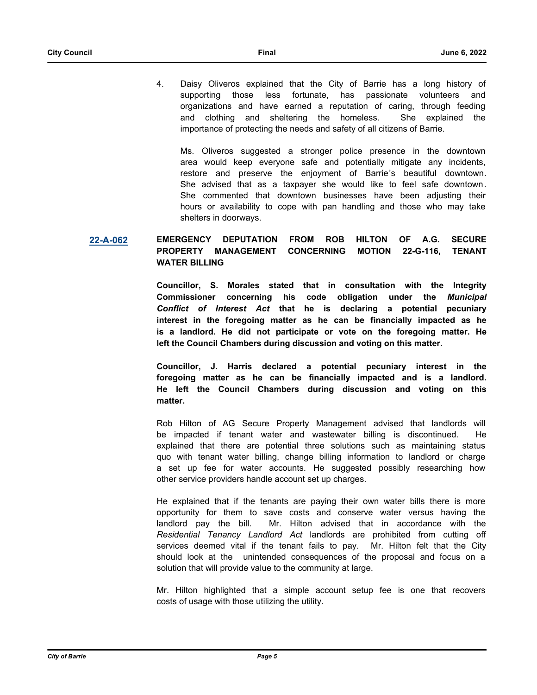4. Daisy Oliveros explained that the City of Barrie has a long history of supporting those less fortunate, has passionate volunteers and organizations and have earned a reputation of caring, through feeding and clothing and sheltering the homeless. She explained the importance of protecting the needs and safety of all citizens of Barrie.

Ms. Oliveros suggested a stronger police presence in the downtown area would keep everyone safe and potentially mitigate any incidents, restore and preserve the enjoyment of Barrie's beautiful downtown. She advised that as a taxpayer she would like to feel safe downtown. She commented that downtown businesses have been adjusting their hours or availability to cope with pan handling and those who may take shelters in doorways.

### **[22-A-062](http://barrie.ca.legistar.com/gateway.aspx?m=l&id=/matter.aspx?key=50845) EMERGENCY DEPUTATION FROM ROB HILTON OF A.G. SECURE PROPERTY MANAGEMENT CONCERNING MOTION 22-G-116, TENANT WATER BILLING**

**Councillor, S. Morales stated that in consultation with the Integrity Commissioner concerning his code obligation under the** *Municipal Conflict of Interest Act* **that he is declaring a potential pecuniary interest in the foregoing matter as he can be financially impacted as he is a landlord. He did not participate or vote on the foregoing matter. He left the Council Chambers during discussion and voting on this matter.** 

**Councillor, J. Harris declared a potential pecuniary interest in the foregoing matter as he can be financially impacted and is a landlord. He left the Council Chambers during discussion and voting on this matter.**

Rob Hilton of AG Secure Property Management advised that landlords will be impacted if tenant water and wastewater billing is discontinued. He explained that there are potential three solutions such as maintaining status quo with tenant water billing, change billing information to landlord or charge a set up fee for water accounts. He suggested possibly researching how other service providers handle account set up charges.

He explained that if the tenants are paying their own water bills there is more opportunity for them to save costs and conserve water versus having the landlord pay the bill. Mr. Hilton advised that in accordance with the *Residential Tenancy Landlord Act* landlords are prohibited from cutting off services deemed vital if the tenant fails to pay. Mr. Hilton felt that the City should look at the unintended consequences of the proposal and focus on a solution that will provide value to the community at large.

Mr. Hilton highlighted that a simple account setup fee is one that recovers costs of usage with those utilizing the utility.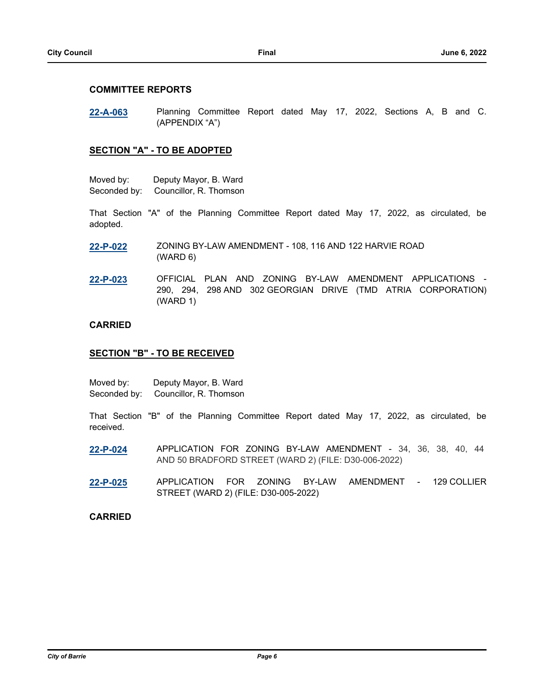### **COMMITTEE REPORTS**

**[22-A-063](http://barrie.ca.legistar.com/gateway.aspx?m=l&id=/matter.aspx?key=50826)** Planning Committee Report dated May 17, 2022, Sections A, B and C. (APPENDIX "A")

### **SECTION "A" - TO BE ADOPTED**

| Moved by:    | Deputy Mayor, B. Ward  |
|--------------|------------------------|
| Seconded by: | Councillor, R. Thomson |

That Section "A" of the Planning Committee Report dated May 17, 2022, as circulated, be adopted.

- **[22-P-022](http://barrie.ca.legistar.com/gateway.aspx?m=l&id=/matter.aspx?key=50563)** ZONING BY-LAW AMENDMENT 108, 116 AND 122 HARVIE ROAD (WARD 6)
- **[22-P-023](http://barrie.ca.legistar.com/gateway.aspx?m=l&id=/matter.aspx?key=50579)** OFFICIAL PLAN AND ZONING BY-LAW AMENDMENT APPLICATIONS 290, 294, 298 AND 302 GEORGIAN DRIVE (TMD ATRIA CORPORATION) (WARD 1)

### **CARRIED**

### **SECTION "B" - TO BE RECEIVED**

| Moved by:    | Deputy Mayor, B. Ward  |
|--------------|------------------------|
| Seconded by: | Councillor, R. Thomson |

That Section "B" of the Planning Committee Report dated May 17, 2022, as circulated, be received.

- **[22-P-024](http://barrie.ca.legistar.com/gateway.aspx?m=l&id=/matter.aspx?key=50558)** APPLICATION FOR ZONING BY-LAW AMENDMENT 34, 36, 38, 40, 44 AND 50 BRADFORD STREET (WARD 2) (FILE: D30-006-2022)
- **[22-P-025](http://barrie.ca.legistar.com/gateway.aspx?m=l&id=/matter.aspx?key=50578)** APPLICATION FOR ZONING BY-LAW AMENDMENT 129 COLLIER STREET (WARD 2) (FILE: D30-005-2022)

### **CARRIED**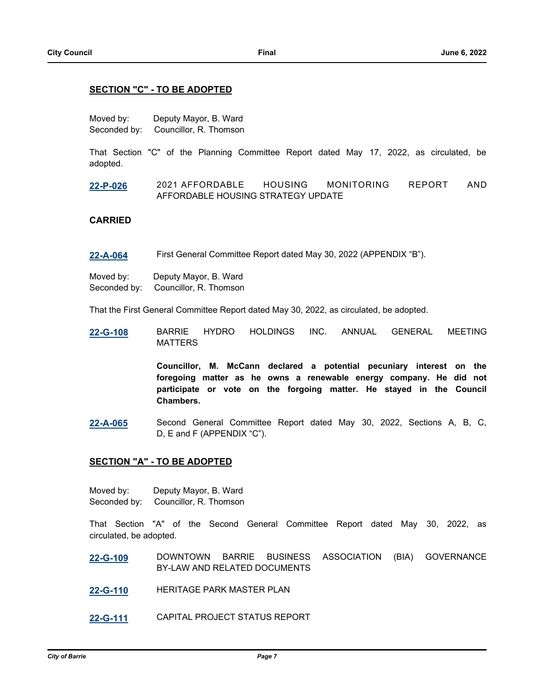### **SECTION "C" - TO BE ADOPTED**

Moved by: Deputy Mayor, B. Ward Seconded by: Councillor, R. Thomson

That Section "C" of the Planning Committee Report dated May 17, 2022, as circulated, be adopted.

**[22-P-026](http://barrie.ca.legistar.com/gateway.aspx?m=l&id=/matter.aspx?key=50594)** 2021 AFFORDABLE HOUSING MONITORING REPORT AND AFFORDABLE HOUSING STRATEGY UPDATE

### **CARRIED**

**[22-A-064](http://barrie.ca.legistar.com/gateway.aspx?m=l&id=/matter.aspx?key=50827)** First General Committee Report dated May 30, 2022 (APPENDIX "B").

Moved by: Deputy Mayor, B. Ward Seconded by: Councillor, R. Thomson

That the First General Committee Report dated May 30, 2022, as circulated, be adopted.

**[22-G-108](http://barrie.ca.legistar.com/gateway.aspx?m=l&id=/matter.aspx?key=50700)** BARRIE HYDRO HOLDINGS INC. ANNUAL GENERAL MEETING MATTERS

> **Councillor, M. McCann declared a potential pecuniary interest on the foregoing matter as he owns a renewable energy company. He did not participate or vote on the forgoing matter. He stayed in the Council Chambers.**

**[22-A-065](http://barrie.ca.legistar.com/gateway.aspx?m=l&id=/matter.aspx?key=50828)** Second General Committee Report dated May 30, 2022, Sections A, B, C, D, E and F (APPENDIX "C").

### **SECTION "A" - TO BE ADOPTED**

Moved by: Deputy Mayor, B. Ward Seconded by: Councillor, R. Thomson

That Section "A" of the Second General Committee Report dated May 30, 2022, as circulated, be adopted.

- **[22-G-109](http://barrie.ca.legistar.com/gateway.aspx?m=l&id=/matter.aspx?key=50698)** DOWNTOWN BARRIE BUSINESS ASSOCIATION (BIA) GOVERNANCE BY-LAW AND RELATED DOCUMENTS
- **[22-G-110](http://barrie.ca.legistar.com/gateway.aspx?m=l&id=/matter.aspx?key=50707)** HERITAGE PARK MASTER PLAN
- **[22-G-111](http://barrie.ca.legistar.com/gateway.aspx?m=l&id=/matter.aspx?key=50725)** CAPITAL PROJECT STATUS REPORT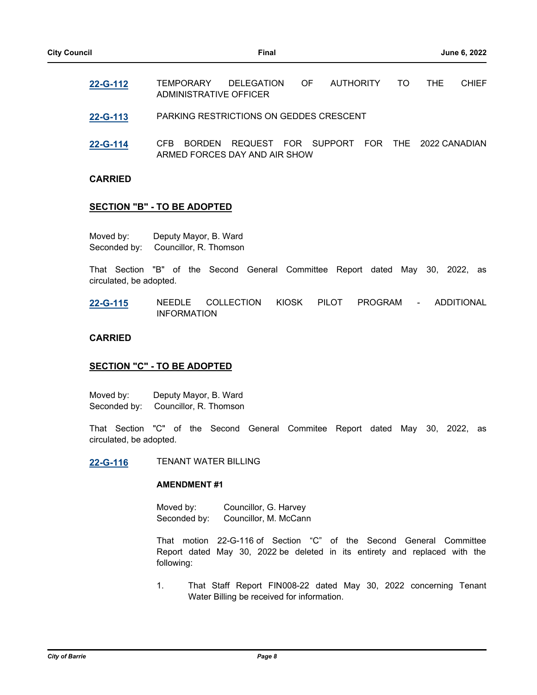- **[22-G-112](http://barrie.ca.legistar.com/gateway.aspx?m=l&id=/matter.aspx?key=50728)** TEMPORARY DELEGATION OF AUTHORITY TO THE CHIEF ADMINISTRATIVE OFFICER
- **[22-G-113](http://barrie.ca.legistar.com/gateway.aspx?m=l&id=/matter.aspx?key=50733)** PARKING RESTRICTIONS ON GEDDES CRESCENT
- **[22-G-114](http://barrie.ca.legistar.com/gateway.aspx?m=l&id=/matter.aspx?key=50734)** CFB BORDEN REQUEST FOR SUPPORT FOR THE 2022 CANADIAN ARMED FORCES DAY AND AIR SHOW

### **CARRIED**

### **SECTION "B" - TO BE ADOPTED**

| Moved by:    | Deputy Mayor, B. Ward  |
|--------------|------------------------|
| Seconded by: | Councillor, R. Thomson |

That Section "B" of the Second General Committee Report dated May 30, 2022, as circulated, be adopted.

**[22-G-115](http://barrie.ca.legistar.com/gateway.aspx?m=l&id=/matter.aspx?key=50692)** NEEDLE COLLECTION KIOSK PILOT PROGRAM - ADDITIONAL INFORMATION

### **CARRIED**

### **SECTION "C" - TO BE ADOPTED**

Moved by: Deputy Mayor, B. Ward Seconded by: Councillor, R. Thomson

That Section "C" of the Second General Commitee Report dated May 30, 2022, as circulated, be adopted.

**[22-G-116](http://barrie.ca.legistar.com/gateway.aspx?m=l&id=/matter.aspx?key=50720)** TENANT WATER BILLING

### **AMENDMENT #1**

Moved by: Councillor, G. Harvey Seconded by: Councillor, M. McCann

That motion 22-G-116 of Section "C" of the Second General Committee Report dated May 30, 2022 be deleted in its entirety and replaced with the following:

1. That Staff Report FIN008-22 dated May 30, 2022 concerning Tenant Water Billing be received for information.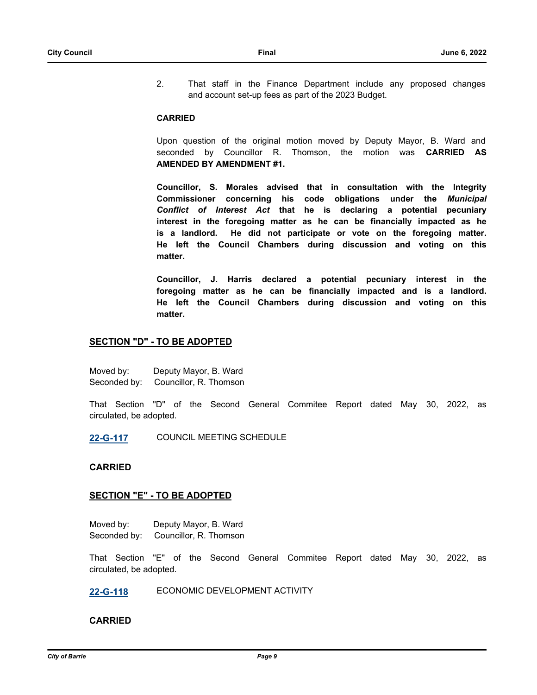2. That staff in the Finance Department include any proposed changes and account set-up fees as part of the 2023 Budget.

### **CARRIED**

Upon question of the original motion moved by Deputy Mayor, B. Ward and seconded by Councillor R. Thomson, the motion was **CARRIED AS AMENDED BY AMENDMENT #1.**

**Councillor, S. Morales advised that in consultation with the Integrity Commissioner concerning his code obligations under the** *Municipal Conflict of Interest Act* **that he is declaring a potential pecuniary interest in the foregoing matter as he can be financially impacted as he is a landlord. He did not participate or vote on the foregoing matter. He left the Council Chambers during discussion and voting on this matter.** 

**Councillor, J. Harris declared a potential pecuniary interest in the foregoing matter as he can be financially impacted and is a landlord. He left the Council Chambers during discussion and voting on this matter.**

## **SECTION "D" - TO BE ADOPTED**

Moved by: Deputy Mayor, B. Ward Seconded by: Councillor, R. Thomson

That Section "D" of the Second General Commitee Report dated May 30, 2022, as circulated, be adopted.

**[22-G-117](http://barrie.ca.legistar.com/gateway.aspx?m=l&id=/matter.aspx?key=50735)** COUNCIL MEETING SCHEDULE

### **CARRIED**

### **SECTION "E" - TO BE ADOPTED**

Moved by: Deputy Mayor, B. Ward Seconded by: Councillor, R. Thomson

That Section "E" of the Second General Commitee Report dated May 30, 2022, as circulated, be adopted.

**[22-G-118](http://barrie.ca.legistar.com/gateway.aspx?m=l&id=/matter.aspx?key=50736)** ECONOMIC DEVELOPMENT ACTIVITY

### **CARRIED**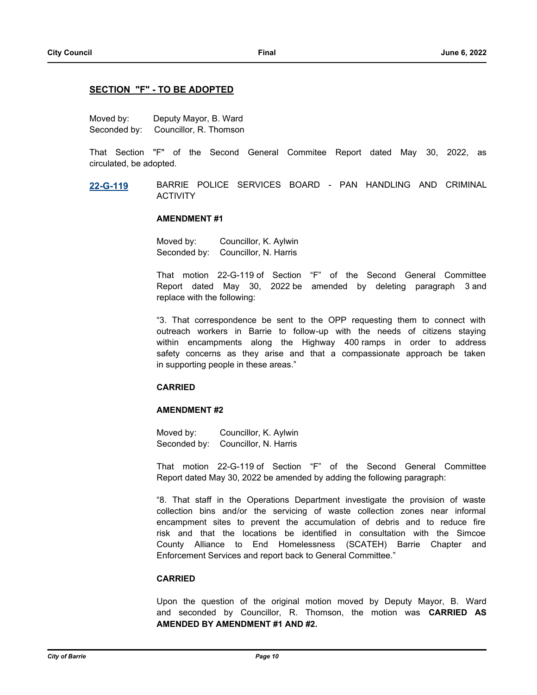### **SECTION "F" - TO BE ADOPTED**

Moved by: Deputy Mayor, B. Ward Seconded by: Councillor, R. Thomson

That Section "F" of the Second General Commitee Report dated May 30, 2022, as circulated, be adopted.

**[22-G-119](http://barrie.ca.legistar.com/gateway.aspx?m=l&id=/matter.aspx?key=50737)** BARRIE POLICE SERVICES BOARD - PAN HANDLING AND CRIMINAL ACTIVITY

### **AMENDMENT #1**

Moved by: Councillor, K. Aylwin Seconded by: Councillor, N. Harris

That motion 22-G-119 of Section "F" of the Second General Committee Report dated May 30, 2022 be amended by deleting paragraph 3 and replace with the following:

"3. That correspondence be sent to the OPP requesting them to connect with outreach workers in Barrie to follow-up with the needs of citizens staying within encampments along the Highway 400 ramps in order to address safety concerns as they arise and that a compassionate approach be taken in supporting people in these areas."

### **CARRIED**

### **AMENDMENT #2**

Moved by: Councillor, K. Aylwin Seconded by: Councillor, N. Harris

That motion 22-G-119 of Section "F" of the Second General Committee Report dated May 30, 2022 be amended by adding the following paragraph:

"8. That staff in the Operations Department investigate the provision of waste collection bins and/or the servicing of waste collection zones near informal encampment sites to prevent the accumulation of debris and to reduce fire risk and that the locations be identified in consultation with the Simcoe County Alliance to End Homelessness (SCATEH) Barrie Chapter and Enforcement Services and report back to General Committee."

### **CARRIED**

Upon the question of the original motion moved by Deputy Mayor, B. Ward and seconded by Councillor, R. Thomson, the motion was **CARRIED AS AMENDED BY AMENDMENT #1 AND #2.**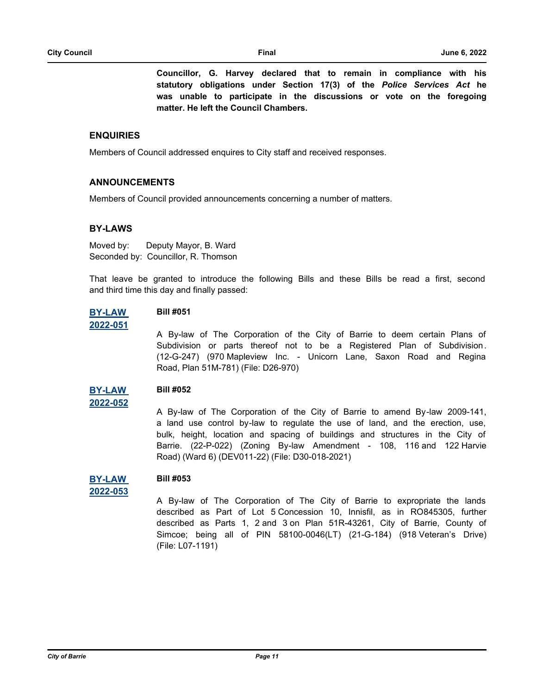**Councillor, G. Harvey declared that to remain in compliance with his statutory obligations under Section 17(3) of the** *Police Services Act* **he was unable to participate in the discussions or vote on the foregoing matter. He left the Council Chambers.** 

### **ENQUIRIES**

Members of Council addressed enquires to City staff and received responses.

### **ANNOUNCEMENTS**

Members of Council provided announcements concerning a number of matters.

### **BY-LAWS**

Moved by: Deputy Mayor, B. Ward Seconded by: Councillor, R. Thomson

That leave be granted to introduce the following Bills and these Bills be read a first, second and third time this day and finally passed:

#### **[BY-LAW](http://barrie.ca.legistar.com/gateway.aspx?m=l&id=/matter.aspx?key=50790)  Bill #051**

### **2022-051**

**2022-052**

A By-law of The Corporation of the City of Barrie to deem certain Plans of Subdivision or parts thereof not to be a Registered Plan of Subdivision. (12-G-247) (970 Mapleview Inc. - Unicorn Lane, Saxon Road and Regina Road, Plan 51M-781) (File: D26-970)

#### **[BY-LAW](http://barrie.ca.legistar.com/gateway.aspx?m=l&id=/matter.aspx?key=50765)  Bill #052**

A By-law of The Corporation of the City of Barrie to amend By-law 2009-141, a land use control by-law to regulate the use of land, and the erection, use, bulk, height, location and spacing of buildings and structures in the City of Barrie. (22-P-022) (Zoning By-law Amendment - 108, 116 and 122 Harvie Road) (Ward 6) (DEV011-22) (File: D30-018-2021)

#### **[BY-LAW](http://barrie.ca.legistar.com/gateway.aspx?m=l&id=/matter.aspx?key=50769)  Bill #053**

```
2022-053
```
A By-law of The Corporation of The City of Barrie to expropriate the lands described as Part of Lot 5 Concession 10, Innisfil, as in RO845305, further described as Parts 1, 2 and 3 on Plan 51R-43261, City of Barrie, County of Simcoe; being all of PIN 58100-0046(LT) (21-G-184) (918 Veteran's Drive) (File: L07-1191)